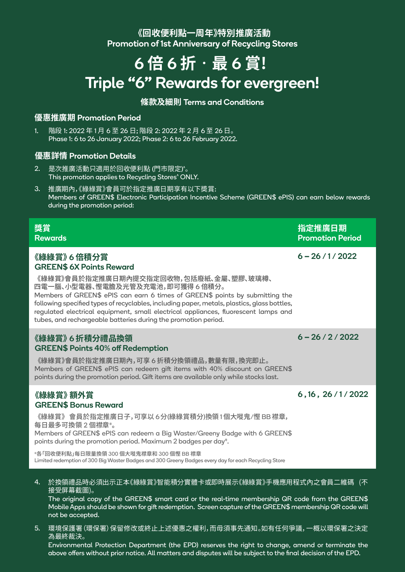### **《回收便利點一周年》特別推廣活動** Promotion of 1st Anniversary of Recycling Stores

# 6 **倍** 6 **折**‧**最** 6 **賞!**  Triple "6" Rewards for evergreen!

#### **條款及細則** Terms and Conditions

#### **優惠推廣期** Promotion Period

階段 1: 2022 年 1 月 6 至 26 日; 階段 2: 2022 年 2 月 6 至 26 日。 Phase 1: 6 to 26 January 2022; Phase 2: 6 to 26 February 2022. 1.

#### **優惠詳情** Promotion Details

- 是次推廣活動只適用於回收便利點 (門市限定) ^ 。 This promotion applies to Recycling Stores^ ONLY. 2.
- 推廣期內,《綠綠賞》會員可於指定推廣日期享有以下奬賞: Members of GREEN\$ Electronic Participation Incentive Scheme (GREEN\$ ePIS) can earn below rewards during the promotion period: 3.

| 獎賞<br><b>Rewards</b>                                                                                                                                                                                                                                                                                                                                                                                                                                                | 指定推廣日期<br><b>Promotion Period</b> |
|---------------------------------------------------------------------------------------------------------------------------------------------------------------------------------------------------------------------------------------------------------------------------------------------------------------------------------------------------------------------------------------------------------------------------------------------------------------------|-----------------------------------|
| 《綠綠賞》6 倍積分賞<br><b>GREEN\$ 6X Points Reward</b><br>《綠綠賞》會員於指定推廣日期內提交指定回收物,包括廢紙、金屬、塑膠、玻璃樽、<br>四電一腦、小型電器、慳電膽及光管及充電池,即可獲得 6 倍積分。<br>Members of GREEN\$ ePIS can earn 6 times of GREEN\$ points by submitting the<br>following specified types of recyclables, including paper, metals, plastics, glass bottles,<br>regulated electrical equipment, small electrical appliances, fluorescent lamps and<br>tubes, and rechargeable batteries during the promotion period. | $6 - 26 / 1 / 2022$               |
| 《綠綠賞》6 折積分禮品換領<br><b>GREEN\$ Points 40% off Redemption</b><br>《綠綠賞》會員於指定推廣日期內,可享6折積分換領禮品,數量有限,換完即止。<br>Members of GREEN\$ ePIS can redeem gift items with 40% discount on GREEN\$<br>points during the promotion period. Gift items are available only while stocks last.                                                                                                                                                                                           | $6 - 26 / 2 / 2022$               |
| 《綠綠賞》 額外賞<br><b>GREEN\$ Bonus Reward</b><br>《綠綠賞》 會員於指定推廣日子,可享以6分(綠綠賞積分)換領1個大嘥鬼/慳BB 襟章,<br>每日最多可換領2個襟章#。<br>Members of GREEN\$ ePIS can redeem a Big Waster/Greeny Badge with 6 GREEN\$<br>points during the promotion period. Maximum 2 badges per day <sup>#</sup> .<br>#各「回收便利點」每日限量換領 300 個大嘥鬼襟章和 300 個慳 BB 襟章<br>Limited redemption of 300 Big Waster Badges and 300 Greeny Badges every day for each Recycling Store                                          | 6, 16, 26/1/2022                  |

於換領禮品時必須出示正本《綠綠賞》智能積分實體卡或即時展示《綠綠賞》手機應用程式內之會員二維碼 (不 接受屏幕截圖)。 4.

The original copy of the GREEN\$ smart card or the real-time membership QR code from the GREEN\$ Mobile Apps should be shown for gift redemption. Screen capture of the GREEN\$ membership QR code will not be accepted.

環境保護署(環保署)保留修改或終止上述優惠之權利,而毋須事先通知。如有任何爭議,一概以環保署之決定 5.為最終裁決。

Environmental Protection Department (the EPD) reserves the right to change, amend or terminate the above offers without prior notice. All matters and disputes will be subject to the final decision of the EPD.